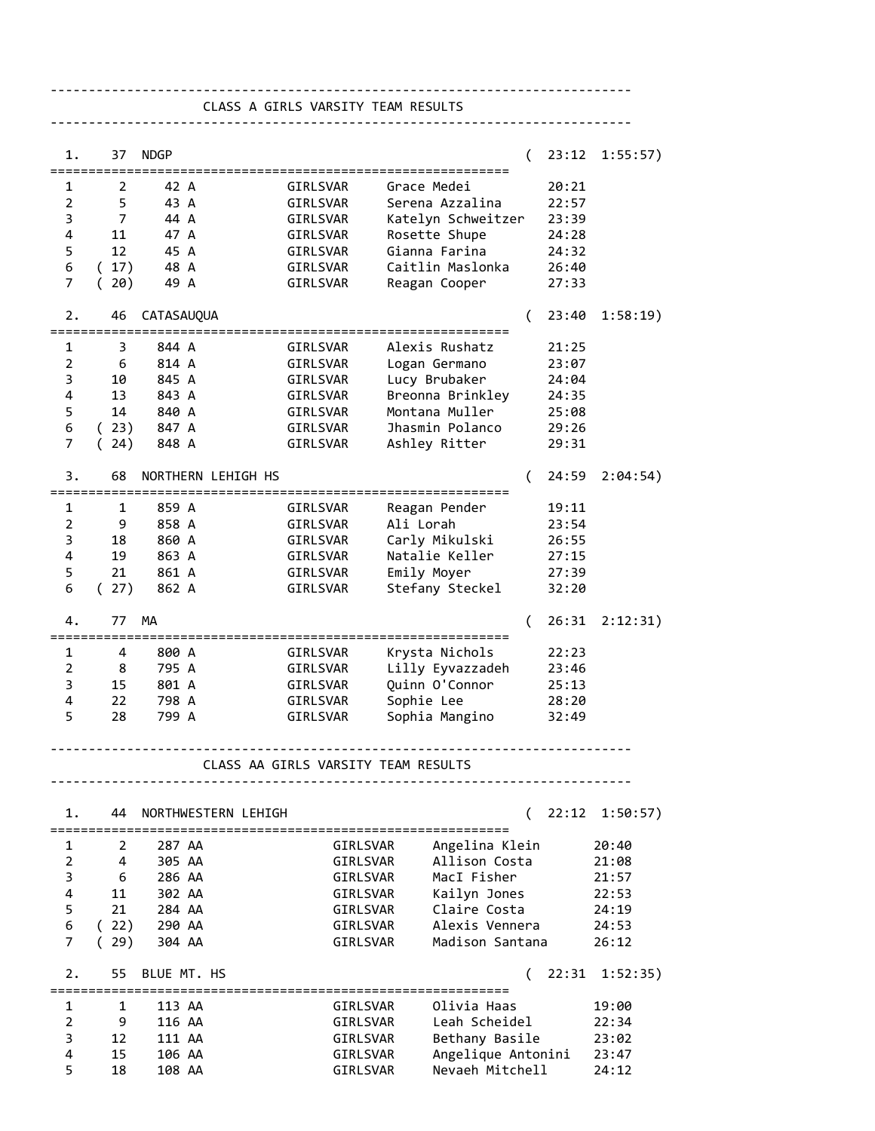---------------------------------------------------------------------------- CLASS A GIRLS VARSITY TEAM RESULTS

| 1.             | 37             | <b>NDGP</b>                       |                                     |                             |                    | $\left($ | 23:12 | 1:55:57) |
|----------------|----------------|-----------------------------------|-------------------------------------|-----------------------------|--------------------|----------|-------|----------|
| 1              | 2              | 42 A                              |                                     | GIRLSVAR                    | Grace Medei        |          | 20:21 |          |
|                |                |                                   |                                     |                             |                    |          |       |          |
| $\overline{2}$ | 5              | 43 A                              |                                     | GIRLSVAR                    | Serena Azzalina    |          | 22:57 |          |
| 3              | $\overline{7}$ | 44 A                              |                                     | GIRLSVAR                    | Katelyn Schweitzer |          | 23:39 |          |
| 4              | 11             | 47 A                              |                                     | GIRLSVAR                    | Rosette Shupe      |          | 24:28 |          |
| 5              | 12             | 45 A                              |                                     | GIRLSVAR                    | Gianna Farina      |          | 24:32 |          |
| 6              | (17)           | 48 A                              |                                     | GIRLSVAR                    | Caitlin Maslonka   |          | 26:40 |          |
| 7              | 20)<br>(       | 49 A                              |                                     | GIRLSVAR                    | Reagan Cooper      |          | 27:33 |          |
|                |                |                                   |                                     |                             |                    |          |       |          |
| 2.             | 46             | CATASAUQUA                        |                                     |                             |                    | (        | 23:40 | 1:58:19) |
| 1              | 3              | ========================<br>844 A |                                     | ===============<br>GIRLSVAR | Alexis Rushatz     |          | 21:25 |          |
| $\overline{2}$ | 6              | 814 A                             |                                     |                             |                    |          |       |          |
|                |                |                                   |                                     | GIRLSVAR                    | Logan Germano      |          | 23:07 |          |
| 3              | 10             | 845 A                             |                                     | GIRLSVAR                    | Lucy Brubaker      |          | 24:04 |          |
| 4              | 13             | 843 A                             |                                     | GIRLSVAR                    | Breonna Brinkley   |          | 24:35 |          |
| 5              | 14             | 840 A                             |                                     | GIRLSVAR                    | Montana Muller     |          | 25:08 |          |
| 6              | (23)           | 847 A                             |                                     | GIRLSVAR                    | Jhasmin Polanco    |          | 29:26 |          |
| 7              | 24)<br>(       | 848 A                             |                                     | GIRLSVAR                    | Ashley Ritter      |          | 29:31 |          |
|                |                |                                   |                                     |                             |                    |          |       |          |
| 3.             | 68             |                                   | NORTHERN LEHIGH HS                  |                             |                    | $\left($ | 24:59 | 2:04:54) |
|                |                |                                   |                                     |                             |                    |          |       |          |
| 1              | 1              | 859 A                             |                                     | GIRLSVAR                    | Reagan Pender      |          | 19:11 |          |
| $\overline{2}$ | 9              | 858 A                             |                                     | GIRLSVAR                    | Ali Lorah          |          | 23:54 |          |
| 3              | 18             | 860 A                             |                                     | GIRLSVAR                    | Carly Mikulski     |          | 26:55 |          |
| 4              | 19             | 863 A                             |                                     | GIRLSVAR                    | Natalie Keller     |          | 27:15 |          |
| 5              | 21             | 861 A                             |                                     | GIRLSVAR                    | Emily Moyer        |          | 27:39 |          |
| 6              | (27)           | 862 A                             |                                     | GIRLSVAR                    | Stefany Steckel    |          | 32:20 |          |
|                |                |                                   |                                     |                             |                    |          |       |          |
| 4.             | 77             | МA                                |                                     |                             |                    | €        | 26:31 | 2:12:31) |
|                |                |                                   |                                     |                             |                    |          |       |          |
| 1              | 4              | 800 A                             |                                     | GIRLSVAR                    | Krysta Nichols     |          | 22:23 |          |
| $\overline{2}$ | 8              | 795 A                             |                                     | GIRLSVAR                    | Lilly Eyvazzadeh   |          | 23:46 |          |
| 3              | 15             | 801 A                             |                                     | GIRLSVAR                    | Quinn O'Connor     |          | 25:13 |          |
| 4              | 22             | 798 A                             |                                     | GIRLSVAR                    | Sophie Lee         |          | 28:20 |          |
| 5              | 28             | 799 A                             |                                     | GIRLSVAR                    | Sophia Mangino     |          | 32:49 |          |
|                |                |                                   |                                     |                             |                    |          |       |          |
|                |                |                                   | CLASS AA GIRLS VARSITY TEAM RESULTS |                             |                    |          |       |          |
|                |                |                                   |                                     |                             |                    |          |       |          |
|                |                |                                   |                                     |                             |                    |          |       |          |
| 1.             | 44             |                                   | NORTHWESTERN LEHIGH                 |                             |                    | (        | 22:12 | 1:50:57) |
|                |                |                                   |                                     | ================            |                    |          |       |          |
| 1              | 2              | 287 AA                            |                                     | GIRLSVAR                    | Angelina Klein     |          |       | 20:40    |
| $\overline{2}$ | 4              | 305 AA                            |                                     | GIRLSVAR                    | Allison Costa      |          |       | 21:08    |
| 3              | 6              | 286 AA                            |                                     | GIRLSVAR                    | MacI Fisher        |          |       | 21:57    |
| 4              | 11             | 302 AA                            |                                     | GIRLSVAR                    | Kailyn Jones       |          |       | 22:53    |
| 5              | 21             | 284 AA                            |                                     | GIRLSVAR                    | Claire Costa       |          |       | 24:19    |
|                |                |                                   |                                     |                             | Alexis Vennera     |          |       |          |
| 6              | (22)           | 290 AA                            |                                     | GIRLSVAR                    |                    |          |       | 24:53    |
| 7              | 29)<br>(       | 304 AA                            |                                     | GIRLSVAR                    | Madison Santana    |          |       | 26:12    |
| 2.             | 55             | BLUE MT. HS                       |                                     |                             |                    |          | 22:31 | 1:52:35) |
|                |                |                                   |                                     | :=====================      |                    |          |       |          |
| 1              | 1              | 113 AA                            |                                     | GIRLSVAR                    | Olivia Haas        |          |       | 19:00    |
|                | 9              | 116 AA                            |                                     | GIRLSVAR                    | Leah Scheidel      |          |       | 22:34    |
| $\overline{2}$ |                |                                   |                                     |                             |                    |          |       |          |
| 3              | 12             | 111 AA                            |                                     | GIRLSVAR                    | Bethany Basile     |          |       | 23:02    |
| 4              | 15             | 106 AA                            |                                     | GIRLSVAR                    | Angelique Antonini |          |       | 23:47    |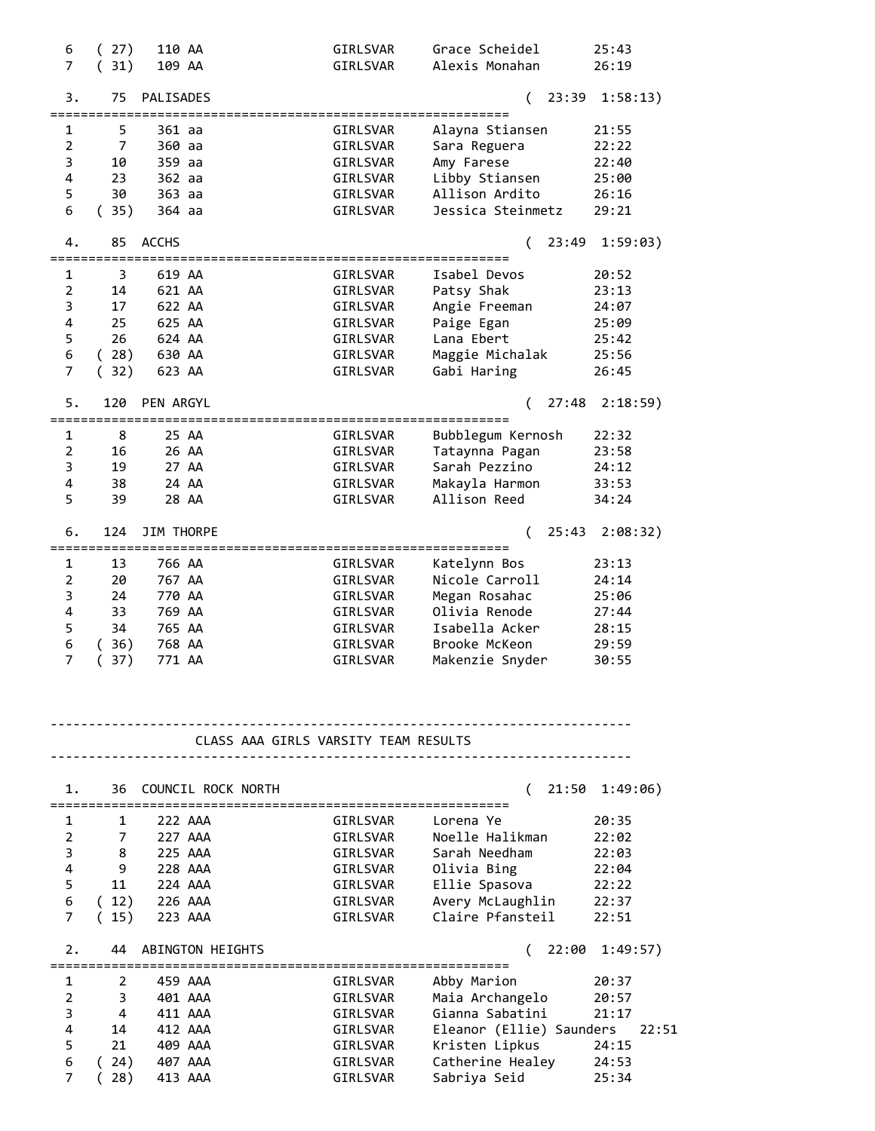| 6              | 27)                    | 110 AA       |                                      | GIRLSVAR                           | Grace Scheidel                   | 25:43          |
|----------------|------------------------|--------------|--------------------------------------|------------------------------------|----------------------------------|----------------|
| $\overline{7}$ | 31)                    | 109 AA       |                                      | GIRLSVAR                           | Alexis Monahan                   | 26:19          |
|                |                        |              |                                      |                                    |                                  |                |
| 3.             | 75                     | PALISADES    |                                      |                                    | 23:39<br>(                       | 1:58:13)       |
|                |                        |              |                                      |                                    |                                  |                |
| 1              | 5                      | 361 aa       |                                      | GIRLSVAR                           | Alayna Stiansen                  | 21:55          |
| $\overline{2}$ | $\overline{7}$         | 360 aa       |                                      | GIRLSVAR                           | Sara Reguera                     | 22:22          |
| 3              | 10                     | 359 aa       |                                      | GIRLSVAR                           | Amy Farese                       | 22:40          |
| 4              | 23                     | 362 aa       |                                      | GIRLSVAR                           | Libby Stiansen                   | 25:00          |
| 5              | 30                     |              |                                      |                                    | Allison Ardito                   |                |
|                |                        | 363 aa       |                                      | GIRLSVAR                           |                                  | 26:16          |
| 6              | (35)                   | 364 aa       |                                      | GIRLSVAR                           | Jessica Steinmetz                | 29:21          |
|                |                        |              |                                      |                                    |                                  |                |
| 4.             | 85                     | <b>ACCHS</b> |                                      |                                    | 23:49                            | 1:59:03)       |
|                | ====================   |              |                                      | ================================== |                                  |                |
| 1              | 3                      | 619 AA       |                                      | GIRLSVAR                           | Isabel Devos                     | 20:52          |
| $\overline{2}$ | 14                     | 621 AA       |                                      | GIRLSVAR                           | Patsy Shak                       | 23:13          |
| 3              | 17                     | 622 AA       |                                      | GIRLSVAR                           | Angie Freeman                    | 24:07          |
| 4              | 25                     | 625 AA       |                                      | GIRLSVAR                           | Paige Egan                       | 25:09          |
| 5              | 26                     | 624 AA       |                                      | GIRLSVAR                           | Lana Ebert                       | 25:42          |
| 6              | (28)                   | 630 AA       |                                      | GIRLSVAR                           | Maggie Michalak                  | 25:56          |
| 7              | 32)<br>(               | 623 AA       |                                      | GIRLSVAR                           | Gabi Haring                      | 26:45          |
|                |                        |              |                                      |                                    |                                  |                |
| 5.             | 120                    | PEN ARGYL    |                                      |                                    |                                  |                |
|                |                        |              |                                      |                                    | 27:48                            | 2:18:59)       |
|                | ---------------------- |              |                                      |                                    |                                  |                |
| 1              | 8                      |              | 25 AA                                | GIRLSVAR                           | Bubblegum Kernosh                | 22:32          |
| $\overline{2}$ | 16                     |              | 26 AA                                | GIRLSVAR                           | Tataynna Pagan                   | 23:58          |
| 3              | 19                     |              | 27 AA                                | GIRLSVAR                           | Sarah Pezzino                    | 24:12          |
| 4              | 38                     |              | 24 AA                                | GIRLSVAR                           | Makayla Harmon                   | 33:53          |
| 5              | 39                     |              | 28 AA                                | GIRLSVAR                           | Allison Reed                     | 34:24          |
|                |                        |              |                                      |                                    |                                  |                |
| 6.             | 124                    | JIM THORPE   |                                      |                                    | 25:43                            | 2:08:32)       |
|                | ====================== |              | ===============                      |                                    |                                  |                |
| 1              | 13                     | 766 AA       |                                      | GIRLSVAR                           | Katelynn Bos                     | 23:13          |
| $\overline{2}$ |                        | 767 AA       |                                      |                                    | Nicole Carroll                   | 24:14          |
|                | 20                     |              |                                      | GIRLSVAR                           |                                  |                |
| 3              | 24                     | 770 AA       |                                      | GIRLSVAR                           | Megan Rosahac                    | 25:06          |
| 4              | 33                     | 769 AA       |                                      | GIRLSVAR                           | Olivia Renode                    | 27:44          |
| 5              | 34                     | 765 AA       |                                      | GIRLSVAR                           | Isabella Acker                   | 28:15          |
| 6              | (36)                   | 768 AA       |                                      | GIRLSVAR                           | Brooke McKeon                    | 29:59          |
| $\overline{7}$ | 37)                    | 771 AA       |                                      | GIRLSVAR                           | Makenzie Snyder                  | 30:55          |
|                |                        |              |                                      |                                    |                                  |                |
|                |                        |              |                                      |                                    |                                  |                |
|                |                        |              |                                      |                                    |                                  |                |
|                |                        |              |                                      |                                    |                                  |                |
|                |                        |              | CLASS AAA GIRLS VARSITY TEAM RESULTS |                                    |                                  |                |
|                |                        |              |                                      |                                    |                                  |                |
|                |                        |              |                                      |                                    |                                  |                |
| 1.             | 36                     |              | COUNCIL ROCK NORTH                   |                                    | 21:50                            | 1:49:06)       |
|                |                        |              |                                      |                                    |                                  |                |
| 1              | 1                      |              | 222 AAA                              | GIRLSVAR                           | Lorena Ye                        | 20:35          |
|                |                        |              |                                      |                                    |                                  |                |
| $\overline{2}$ | 7                      |              | 227 AAA                              | GIRLSVAR                           | Noelle Halikman                  | 22:02          |
| 3              | 8                      |              | 225 AAA                              | GIRLSVAR                           | Sarah Needham                    | 22:03          |
| 4              | 9                      |              | 228 AAA                              | GIRLSVAR                           | Olivia Bing                      | 22:04          |
| 5              | 11                     | 224 AAA      |                                      | GIRLSVAR                           | Ellie Spasova                    | 22:22          |
| 6              | (12)                   |              | 226 AAA                              | GIRLSVAR                           | Avery McLaughlin                 | 22:37          |
| 7              | (15)                   |              | 223 AAA                              | GIRLSVAR                           | Claire Pfansteil                 | 22:51          |
|                |                        |              |                                      |                                    |                                  |                |
| 2.             | 44                     |              | ABINGTON HEIGHTS                     |                                    | 22:00                            | 1:49:57)       |
|                |                        |              | ================                     |                                    |                                  |                |
|                |                        |              | 459 AAA                              | GIRLSVAR                           | Abby Marion                      | 20:37          |
|                |                        |              |                                      |                                    |                                  |                |
| 1              | 2                      |              |                                      |                                    |                                  |                |
| $\overline{2}$ | 3                      |              | 401 AAA                              | GIRLSVAR                           | Maia Archangelo                  | 20:57          |
| 3              | 4                      |              | 411 AAA                              | GIRLSVAR                           | Gianna Sabatini                  | 21:17          |
| 4              | 14                     |              | 412 AAA                              | GIRLSVAR                           | Eleanor (Ellie) Saunders         | 22:51          |
| 5              | 21                     |              | 409 AAA                              | GIRLSVAR                           | Kristen Lipkus                   | 24:15          |
| 6<br>7         | (24)<br>28)            |              | 407 AAA<br>413 AAA                   | GIRLSVAR<br>GIRLSVAR               | Catherine Healey<br>Sabriya Seid | 24:53<br>25:34 |